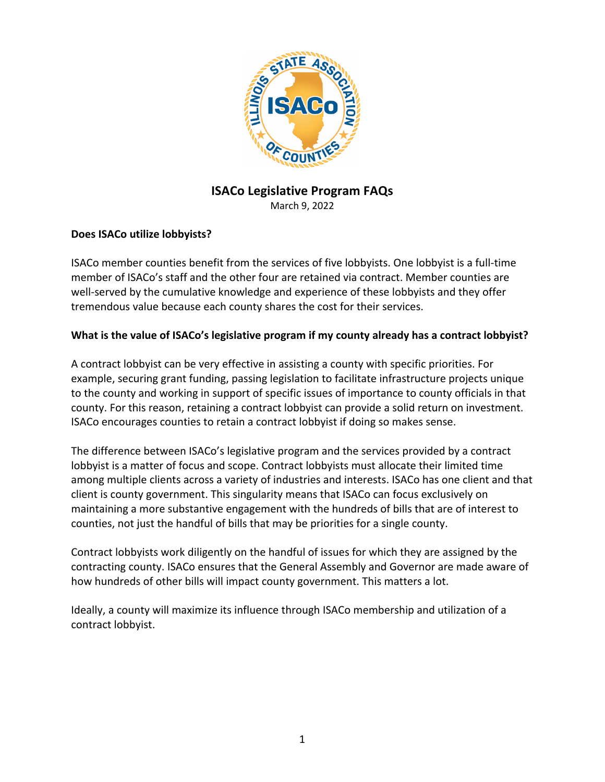

# **ISACo Legislative Program FAQs**

March 9, 2022

#### **Does ISACo utilize lobbyists?**

ISACo member counties benefit from the services of five lobbyists. One lobbyist is a full-time member of ISACo's staff and the other four are retained via contract. Member counties are well-served by the cumulative knowledge and experience of these lobbyists and they offer tremendous value because each county shares the cost for their services.

#### **What is the value of ISACo's legislative program if my county already has a contract lobbyist?**

A contract lobbyist can be very effective in assisting a county with specific priorities. For example, securing grant funding, passing legislation to facilitate infrastructure projects unique to the county and working in support of specific issues of importance to county officials in that county. For this reason, retaining a contract lobbyist can provide a solid return on investment. ISACo encourages counties to retain a contract lobbyist if doing so makes sense.

The difference between ISACo's legislative program and the services provided by a contract lobbyist is a matter of focus and scope. Contract lobbyists must allocate their limited time among multiple clients across a variety of industries and interests. ISACo has one client and that client is county government. This singularity means that ISACo can focus exclusively on maintaining a more substantive engagement with the hundreds of bills that are of interest to counties, not just the handful of bills that may be priorities for a single county.

Contract lobbyists work diligently on the handful of issues for which they are assigned by the contracting county. ISACo ensures that the General Assembly and Governor are made aware of how hundreds of other bills will impact county government. This matters a lot.

Ideally, a county will maximize its influence through ISACo membership and utilization of a contract lobbyist.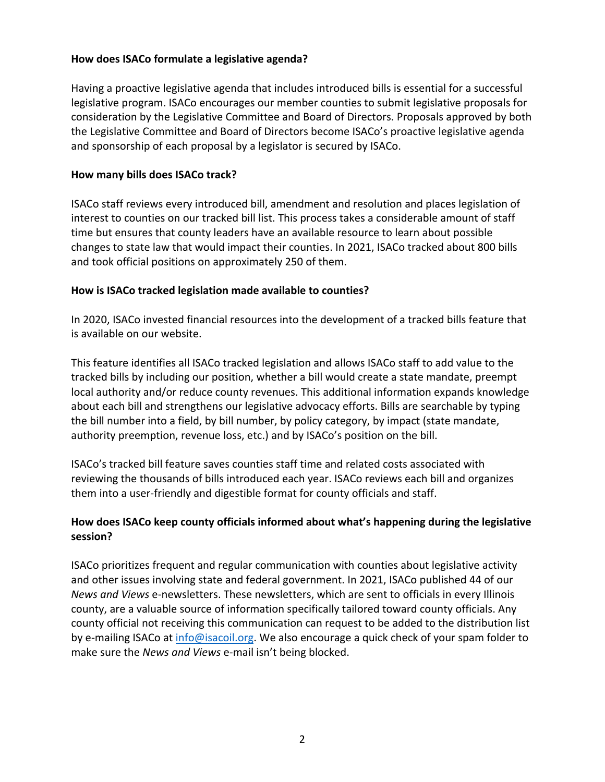## **How does ISACo formulate a legislative agenda?**

Having a proactive legislative agenda that includes introduced bills is essential for a successful legislative program. ISACo encourages our member counties to submit legislative proposals for consideration by the Legislative Committee and Board of Directors. Proposals approved by both the Legislative Committee and Board of Directors become ISACo's proactive legislative agenda and sponsorship of each proposal by a legislator is secured by ISACo.

#### **How many bills does ISACo track?**

ISACo staff reviews every introduced bill, amendment and resolution and places legislation of interest to counties on our tracked bill list. This process takes a considerable amount of staff time but ensures that county leaders have an available resource to learn about possible changes to state law that would impact their counties. In 2021, ISACo tracked about 800 bills and took official positions on approximately 250 of them.

#### **How is ISACo tracked legislation made available to counties?**

In 2020, ISACo invested financial resources into the development of a tracked bills feature that is available on our website.

This feature identifies all ISACo tracked legislation and allows ISACo staff to add value to the tracked bills by including our position, whether a bill would create a state mandate, preempt local authority and/or reduce county revenues. This additional information expands knowledge about each bill and strengthens our legislative advocacy efforts. Bills are searchable by typing the bill number into a field, by bill number, by policy category, by impact (state mandate, authority preemption, revenue loss, etc.) and by ISACo's position on the bill.

ISACo's tracked bill feature saves counties staff time and related costs associated with reviewing the thousands of bills introduced each year. ISACo reviews each bill and organizes them into a user-friendly and digestible format for county officials and staff.

# **How does ISACo keep county officials informed about what's happening during the legislative session?**

ISACo prioritizes frequent and regular communication with counties about legislative activity and other issues involving state and federal government. In 2021, ISACo published 44 of our *News and Views* e-newsletters. These newsletters, which are sent to officials in every Illinois county, are a valuable source of information specifically tailored toward county officials. Any county official not receiving this communication can request to be added to the distribution list by e-mailing ISACo at info@isacoil.org. We also encourage a quick check of your spam folder to make sure the *News and Views* e-mail isn't being blocked.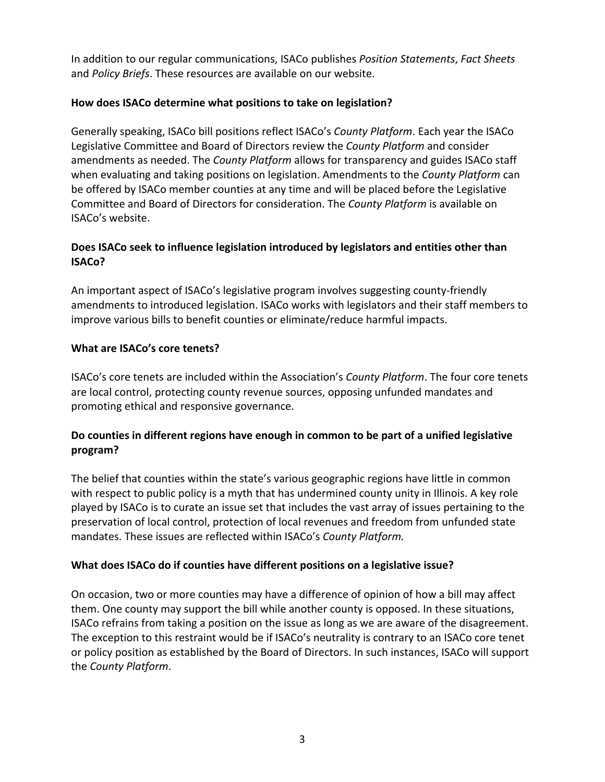In addition to our regular communications, ISACo publishes *Position Statements*, *Fact Sheets* and *Policy Briefs*. These resources are available on our website.

## **How does ISACo determine what positions to take on legislation?**

Generally speaking, ISACo bill positions reflect ISACo's *County Platform*. Each year the ISACo Legislative Committee and Board of Directors review the *County Platform* and consider amendments as needed. The *County Platform* allows for transparency and guides ISACo staff when evaluating and taking positions on legislation. Amendments to the *County Platform* can be offered by ISACo member counties at any time and will be placed before the Legislative Committee and Board of Directors for consideration. The *County Platform* is available on ISACo's website.

# **Does ISACo seek to influence legislation introduced by legislators and entities other than ISACo?**

An important aspect of ISACo's legislative program involves suggesting county-friendly amendments to introduced legislation. ISACo works with legislators and their staff members to improve various bills to benefit counties or eliminate/reduce harmful impacts.

# **What are ISACo's core tenets?**

ISACo's core tenets are included within the Association's *County Platform*. The four core tenets are local control, protecting county revenue sources, opposing unfunded mandates and promoting ethical and responsive governance.

# **Do counties in different regions have enough in common to be part of a unified legislative program?**

The belief that counties within the state's various geographic regions have little in common with respect to public policy is a myth that has undermined county unity in Illinois. A key role played by ISACo is to curate an issue set that includes the vast array of issues pertaining to the preservation of local control, protection of local revenues and freedom from unfunded state mandates. These issues are reflected within ISACo's *County Platform.*

## **What does ISACo do if counties have different positions on a legislative issue?**

On occasion, two or more counties may have a difference of opinion of how a bill may affect them. One county may support the bill while another county is opposed. In these situations, ISACo refrains from taking a position on the issue as long as we are aware of the disagreement. The exception to this restraint would be if ISACo's neutrality is contrary to an ISACo core tenet or policy position as established by the Board of Directors. In such instances, ISACo will support the *County Platform*.